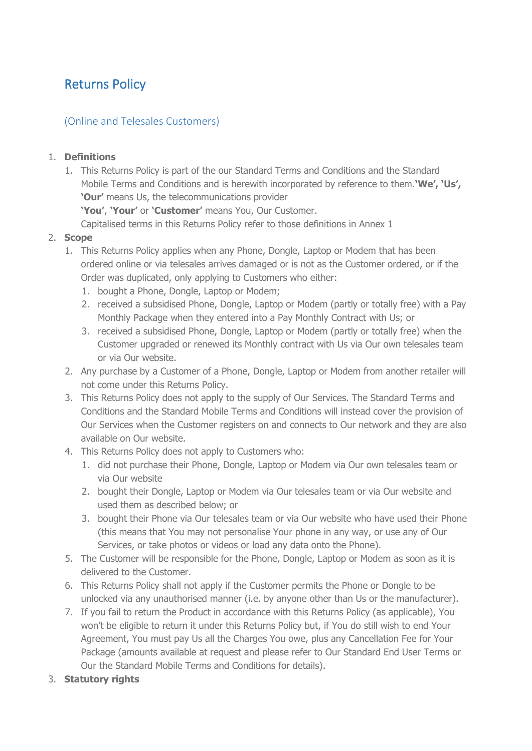# Returns Policy

# (Online and Telesales Customers)

## 1. **Definitions**

1. This Returns Policy is part of the our Standard Terms and Conditions and the Standard Mobile Terms and Conditions and is herewith incorporated by reference to them.**'We', 'Us', 'Our'** means Us, the telecommunications provider

**'You'**, **'Your'** or **'Customer'** means You, Our Customer.

Capitalised terms in this Returns Policy refer to those definitions in Annex 1

## 2. **Scope**

- 1. This Returns Policy applies when any Phone, Dongle, Laptop or Modem that has been ordered online or via telesales arrives damaged or is not as the Customer ordered, or if the Order was duplicated, only applying to Customers who either:
	- 1. bought a Phone, Dongle, Laptop or Modem;
	- 2. received a subsidised Phone, Dongle, Laptop or Modem (partly or totally free) with a Pay Monthly Package when they entered into a Pay Monthly Contract with Us; or
	- 3. received a subsidised Phone, Dongle, Laptop or Modem (partly or totally free) when the Customer upgraded or renewed its Monthly contract with Us via Our own telesales team or via Our website.
- 2. Any purchase by a Customer of a Phone, Dongle, Laptop or Modem from another retailer will not come under this Returns Policy.
- 3. This Returns Policy does not apply to the supply of Our Services. The Standard Terms and Conditions and the Standard Mobile Terms and Conditions will instead cover the provision of Our Services when the Customer registers on and connects to Our network and they are also available on Our website.
- 4. This Returns Policy does not apply to Customers who:
	- 1. did not purchase their Phone, Dongle, Laptop or Modem via Our own telesales team or via Our website
	- 2. bought their Dongle, Laptop or Modem via Our telesales team or via Our website and used them as described below; or
	- 3. bought their Phone via Our telesales team or via Our website who have used their Phone (this means that You may not personalise Your phone in any way, or use any of Our Services, or take photos or videos or load any data onto the Phone).
- 5. The Customer will be responsible for the Phone, Dongle, Laptop or Modem as soon as it is delivered to the Customer.
- 6. This Returns Policy shall not apply if the Customer permits the Phone or Dongle to be unlocked via any unauthorised manner (i.e. by anyone other than Us or the manufacturer).
- 7. If you fail to return the Product in accordance with this Returns Policy (as applicable), You won't be eligible to return it under this Returns Policy but, if You do still wish to end Your Agreement, You must pay Us all the Charges You owe, plus any Cancellation Fee for Your Package (amounts available at request and please refer to Our Standard End User Terms or Our the Standard Mobile Terms and Conditions for details).
- 3. **Statutory rights**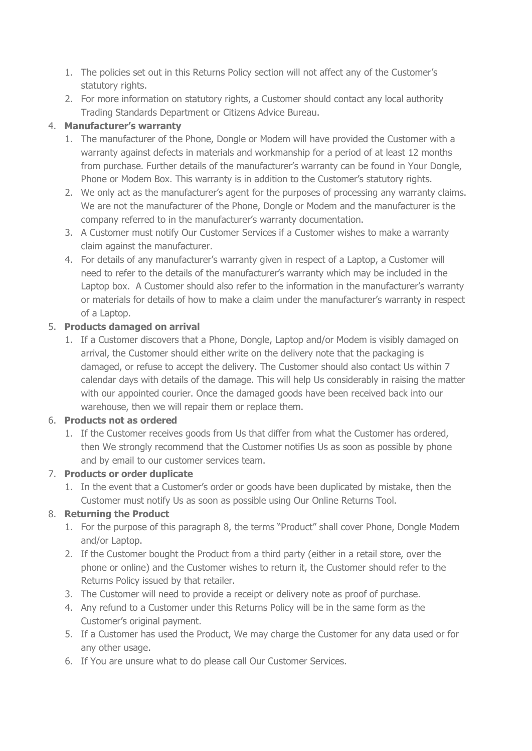- 1. The policies set out in this Returns Policy section will not affect any of the Customer's statutory rights.
- 2. For more information on statutory rights, a Customer should contact any local authority Trading Standards Department or Citizens Advice Bureau.

## 4. **Manufacturer's warranty**

- 1. The manufacturer of the Phone, Dongle or Modem will have provided the Customer with a warranty against defects in materials and workmanship for a period of at least 12 months from purchase. Further details of the manufacturer's warranty can be found in Your Dongle, Phone or Modem Box. This warranty is in addition to the Customer's statutory rights.
- 2. We only act as the manufacturer's agent for the purposes of processing any warranty claims. We are not the manufacturer of the Phone, Dongle or Modem and the manufacturer is the company referred to in the manufacturer's warranty documentation.
- 3. A Customer must notify Our Customer Services if a Customer wishes to make a warranty claim against the manufacturer.
- 4. For details of any manufacturer's warranty given in respect of a Laptop, a Customer will need to refer to the details of the manufacturer's warranty which may be included in the Laptop box. A Customer should also refer to the information in the manufacturer's warranty or materials for details of how to make a claim under the manufacturer's warranty in respect of a Laptop.

## 5. **Products damaged on arrival**

1. If a Customer discovers that a Phone, Dongle, Laptop and/or Modem is visibly damaged on arrival, the Customer should either write on the delivery note that the packaging is damaged, or refuse to accept the delivery. The Customer should also contact Us within 7 calendar days with details of the damage. This will help Us considerably in raising the matter with our appointed courier. Once the damaged goods have been received back into our warehouse, then we will repair them or replace them.

# 6. **Products not as ordered**

1. If the Customer receives goods from Us that differ from what the Customer has ordered, then We strongly recommend that the Customer notifies Us as soon as possible by phone and by email to our customer services team.

#### 7. **Products or order duplicate**

1. In the event that a Customer's order or goods have been duplicated by mistake, then the Customer must notify Us as soon as possible using Our Online Returns Tool.

# 8. **Returning the Product**

- 1. For the purpose of this paragraph 8, the terms "Product" shall cover Phone, Dongle Modem and/or Laptop.
- 2. If the Customer bought the Product from a third party (either in a retail store, over the phone or online) and the Customer wishes to return it, the Customer should refer to the Returns Policy issued by that retailer.
- 3. The Customer will need to provide a receipt or delivery note as proof of purchase.
- 4. Any refund to a Customer under this Returns Policy will be in the same form as the Customer's original payment.
- 5. If a Customer has used the Product, We may charge the Customer for any data used or for any other usage.
- 6. If You are unsure what to do please call Our Customer Services.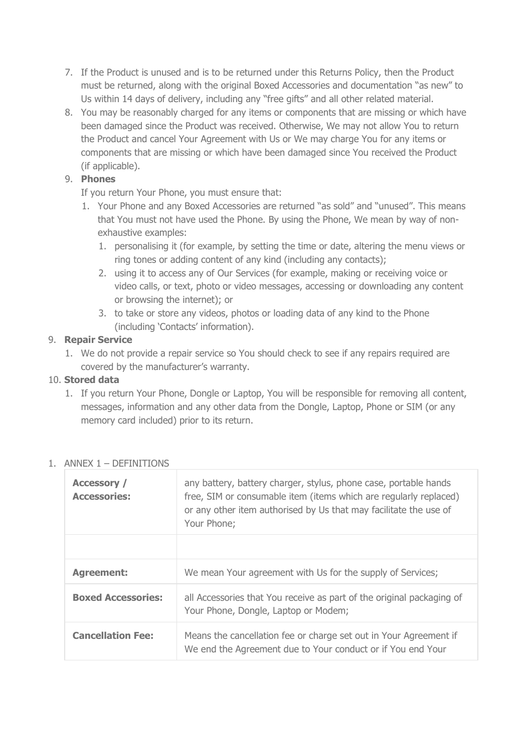- 7. If the Product is unused and is to be returned under this Returns Policy, then the Product must be returned, along with the original Boxed Accessories and documentation "as new" to Us within 14 days of delivery, including any "free gifts" and all other related material.
- 8. You may be reasonably charged for any items or components that are missing or which have been damaged since the Product was received. Otherwise, We may not allow You to return the Product and cancel Your Agreement with Us or We may charge You for any items or components that are missing or which have been damaged since You received the Product (if applicable).

#### 9. **Phones**

If you return Your Phone, you must ensure that:

- 1. Your Phone and any Boxed Accessories are returned "as sold" and "unused". This means that You must not have used the Phone. By using the Phone, We mean by way of nonexhaustive examples:
	- 1. personalising it (for example, by setting the time or date, altering the menu views or ring tones or adding content of any kind (including any contacts);
	- 2. using it to access any of Our Services (for example, making or receiving voice or video calls, or text, photo or video messages, accessing or downloading any content or browsing the internet); or
	- 3. to take or store any videos, photos or loading data of any kind to the Phone (including 'Contacts' information).

#### 9. **Repair Service**

1. We do not provide a repair service so You should check to see if any repairs required are covered by the manufacturer's warranty.

#### 10. **Stored data**

1. If you return Your Phone, Dongle or Laptop, You will be responsible for removing all content, messages, information and any other data from the Dongle, Laptop, Phone or SIM (or any memory card included) prior to its return.

| <b>Accessory /</b><br><b>Accessories:</b> | any battery, battery charger, stylus, phone case, portable hands<br>free, SIM or consumable item (items which are regularly replaced)<br>or any other item authorised by Us that may facilitate the use of<br>Your Phone; |
|-------------------------------------------|---------------------------------------------------------------------------------------------------------------------------------------------------------------------------------------------------------------------------|
|                                           |                                                                                                                                                                                                                           |
| <b>Agreement:</b>                         | We mean Your agreement with Us for the supply of Services;                                                                                                                                                                |
| <b>Boxed Accessories:</b>                 | all Accessories that You receive as part of the original packaging of<br>Your Phone, Dongle, Laptop or Modem;                                                                                                             |
| <b>Cancellation Fee:</b>                  | Means the cancellation fee or charge set out in Your Agreement if<br>We end the Agreement due to Your conduct or if You end Your                                                                                          |

#### 1. ANNEX 1 – DEFINITIONS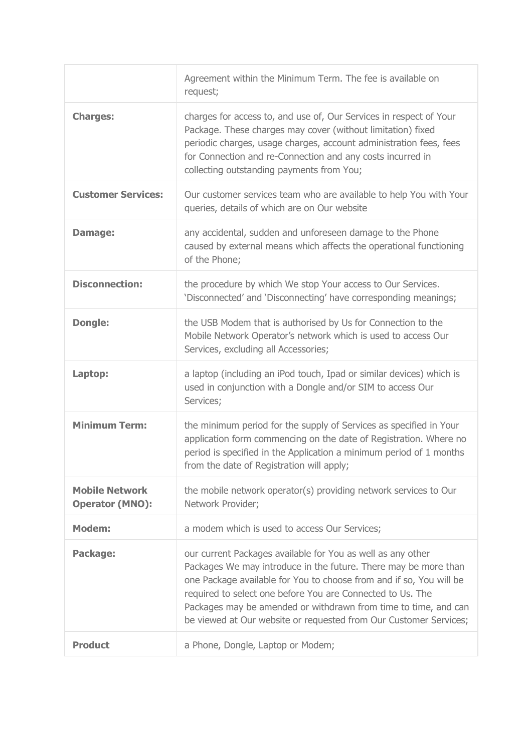|                                                 | Agreement within the Minimum Term. The fee is available on<br>request;                                                                                                                                                                                                                                                                                                                                      |
|-------------------------------------------------|-------------------------------------------------------------------------------------------------------------------------------------------------------------------------------------------------------------------------------------------------------------------------------------------------------------------------------------------------------------------------------------------------------------|
| <b>Charges:</b>                                 | charges for access to, and use of, Our Services in respect of Your<br>Package. These charges may cover (without limitation) fixed<br>periodic charges, usage charges, account administration fees, fees<br>for Connection and re-Connection and any costs incurred in<br>collecting outstanding payments from You;                                                                                          |
| <b>Customer Services:</b>                       | Our customer services team who are available to help You with Your<br>queries, details of which are on Our website                                                                                                                                                                                                                                                                                          |
| Damage:                                         | any accidental, sudden and unforeseen damage to the Phone<br>caused by external means which affects the operational functioning<br>of the Phone;                                                                                                                                                                                                                                                            |
| <b>Disconnection:</b>                           | the procedure by which We stop Your access to Our Services.<br>'Disconnected' and 'Disconnecting' have corresponding meanings;                                                                                                                                                                                                                                                                              |
| <b>Dongle:</b>                                  | the USB Modem that is authorised by Us for Connection to the<br>Mobile Network Operator's network which is used to access Our<br>Services, excluding all Accessories;                                                                                                                                                                                                                                       |
| Laptop:                                         | a laptop (including an iPod touch, Ipad or similar devices) which is<br>used in conjunction with a Dongle and/or SIM to access Our<br>Services;                                                                                                                                                                                                                                                             |
| <b>Minimum Term:</b>                            | the minimum period for the supply of Services as specified in Your<br>application form commencing on the date of Registration. Where no<br>period is specified in the Application a minimum period of 1 months<br>from the date of Registration will apply;                                                                                                                                                 |
| <b>Mobile Network</b><br><b>Operator (MNO):</b> | the mobile network operator(s) providing network services to Our<br>Network Provider;                                                                                                                                                                                                                                                                                                                       |
| <b>Modem:</b>                                   | a modem which is used to access Our Services;                                                                                                                                                                                                                                                                                                                                                               |
| Package:                                        | our current Packages available for You as well as any other<br>Packages We may introduce in the future. There may be more than<br>one Package available for You to choose from and if so, You will be<br>required to select one before You are Connected to Us. The<br>Packages may be amended or withdrawn from time to time, and can<br>be viewed at Our website or requested from Our Customer Services; |
| <b>Product</b>                                  | a Phone, Dongle, Laptop or Modem;                                                                                                                                                                                                                                                                                                                                                                           |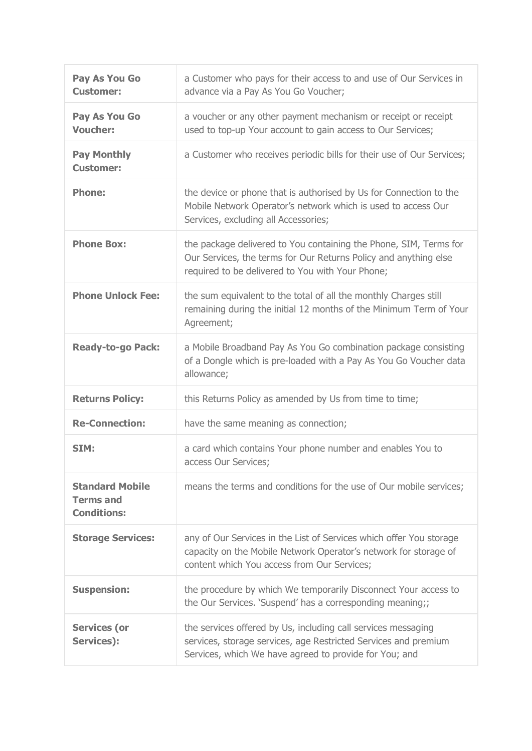| Pay As You Go<br><b>Customer:</b>                                | a Customer who pays for their access to and use of Our Services in<br>advance via a Pay As You Go Voucher;                                                                                 |
|------------------------------------------------------------------|--------------------------------------------------------------------------------------------------------------------------------------------------------------------------------------------|
| Pay As You Go<br><b>Voucher:</b>                                 | a voucher or any other payment mechanism or receipt or receipt<br>used to top-up Your account to gain access to Our Services;                                                              |
| <b>Pay Monthly</b><br><b>Customer:</b>                           | a Customer who receives periodic bills for their use of Our Services;                                                                                                                      |
| <b>Phone:</b>                                                    | the device or phone that is authorised by Us for Connection to the<br>Mobile Network Operator's network which is used to access Our<br>Services, excluding all Accessories;                |
| <b>Phone Box:</b>                                                | the package delivered to You containing the Phone, SIM, Terms for<br>Our Services, the terms for Our Returns Policy and anything else<br>required to be delivered to You with Your Phone;  |
| <b>Phone Unlock Fee:</b>                                         | the sum equivalent to the total of all the monthly Charges still<br>remaining during the initial 12 months of the Minimum Term of Your<br>Agreement;                                       |
| <b>Ready-to-go Pack:</b>                                         | a Mobile Broadband Pay As You Go combination package consisting<br>of a Dongle which is pre-loaded with a Pay As You Go Voucher data<br>allowance;                                         |
| <b>Returns Policy:</b>                                           | this Returns Policy as amended by Us from time to time;                                                                                                                                    |
| <b>Re-Connection:</b>                                            | have the same meaning as connection;                                                                                                                                                       |
| SIM:                                                             | a card which contains Your phone number and enables You to<br>access Our Services;                                                                                                         |
| <b>Standard Mobile</b><br><b>Terms and</b><br><b>Conditions:</b> | means the terms and conditions for the use of Our mobile services;                                                                                                                         |
| <b>Storage Services:</b>                                         | any of Our Services in the List of Services which offer You storage<br>capacity on the Mobile Network Operator's network for storage of<br>content which You access from Our Services;     |
| <b>Suspension:</b>                                               | the procedure by which We temporarily Disconnect Your access to<br>the Our Services. 'Suspend' has a corresponding meaning;;                                                               |
| <b>Services (or</b><br>Services):                                | the services offered by Us, including call services messaging<br>services, storage services, age Restricted Services and premium<br>Services, which We have agreed to provide for You; and |